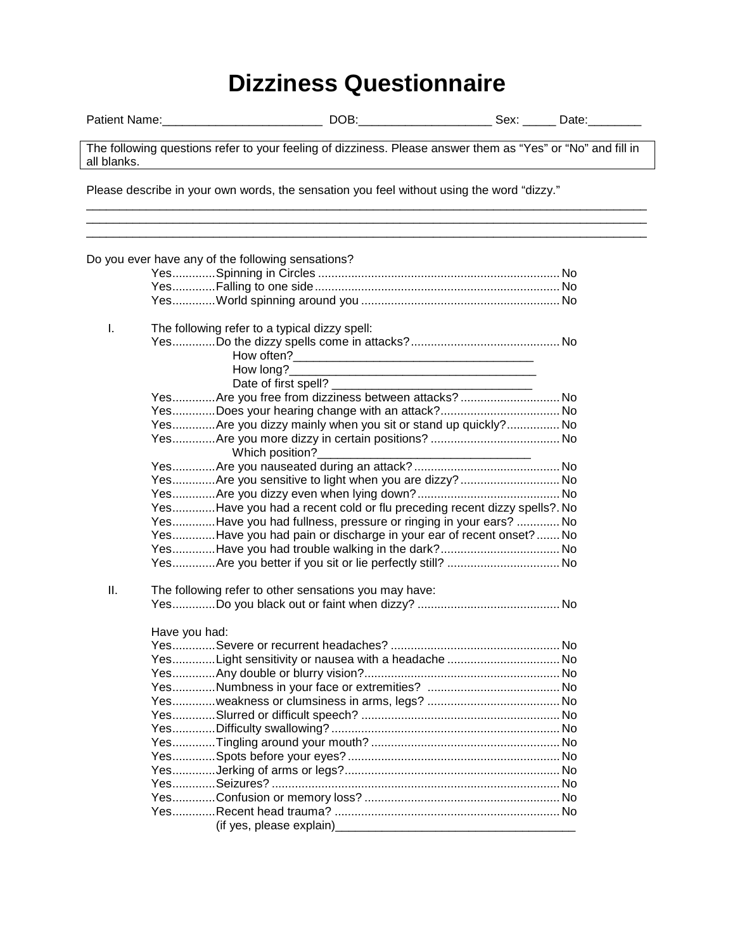## **Dizziness Questionnaire**

 $\overline{\phantom{a}}$ 

| all blanks. |                                                       | The following questions refer to your feeling of dizziness. Please answer them as "Yes" or "No" and fill in |  |  |
|-------------|-------------------------------------------------------|-------------------------------------------------------------------------------------------------------------|--|--|
|             |                                                       | Please describe in your own words, the sensation you feel without using the word "dizzy."                   |  |  |
|             |                                                       |                                                                                                             |  |  |
|             | Do you ever have any of the following sensations?     |                                                                                                             |  |  |
|             |                                                       |                                                                                                             |  |  |
|             |                                                       |                                                                                                             |  |  |
|             |                                                       |                                                                                                             |  |  |
| Τ.          | The following refer to a typical dizzy spell:         |                                                                                                             |  |  |
|             |                                                       |                                                                                                             |  |  |
|             |                                                       |                                                                                                             |  |  |
|             | How long?_                                            |                                                                                                             |  |  |
|             |                                                       | Date of first spell? ________                                                                               |  |  |
|             |                                                       | YesAre you free from dizziness between attacks? No                                                          |  |  |
|             |                                                       |                                                                                                             |  |  |
|             |                                                       | YesAre you dizzy mainly when you sit or stand up quickly? No                                                |  |  |
|             |                                                       |                                                                                                             |  |  |
|             | Which position?                                       |                                                                                                             |  |  |
|             |                                                       | YesAre you sensitive to light when you are dizzy?No                                                         |  |  |
|             |                                                       |                                                                                                             |  |  |
|             |                                                       | YesHave you had a recent cold or flu preceding recent dizzy spells?. No                                     |  |  |
|             |                                                       | YesHave you had fullness, pressure or ringing in your ears? No                                              |  |  |
|             |                                                       | YesHave you had pain or discharge in your ear of recent onset?No                                            |  |  |
|             |                                                       |                                                                                                             |  |  |
|             |                                                       | YesAre you better if you sit or lie perfectly still?  No                                                    |  |  |
|             |                                                       |                                                                                                             |  |  |
| П.          | The following refer to other sensations you may have: |                                                                                                             |  |  |
|             |                                                       |                                                                                                             |  |  |
|             | Have you had:                                         |                                                                                                             |  |  |
|             |                                                       |                                                                                                             |  |  |
|             |                                                       |                                                                                                             |  |  |
|             |                                                       |                                                                                                             |  |  |
|             |                                                       |                                                                                                             |  |  |
|             |                                                       |                                                                                                             |  |  |
|             |                                                       |                                                                                                             |  |  |
|             |                                                       |                                                                                                             |  |  |
|             |                                                       |                                                                                                             |  |  |
|             |                                                       |                                                                                                             |  |  |
|             |                                                       |                                                                                                             |  |  |
|             |                                                       |                                                                                                             |  |  |
|             |                                                       |                                                                                                             |  |  |
|             |                                                       |                                                                                                             |  |  |
|             |                                                       |                                                                                                             |  |  |